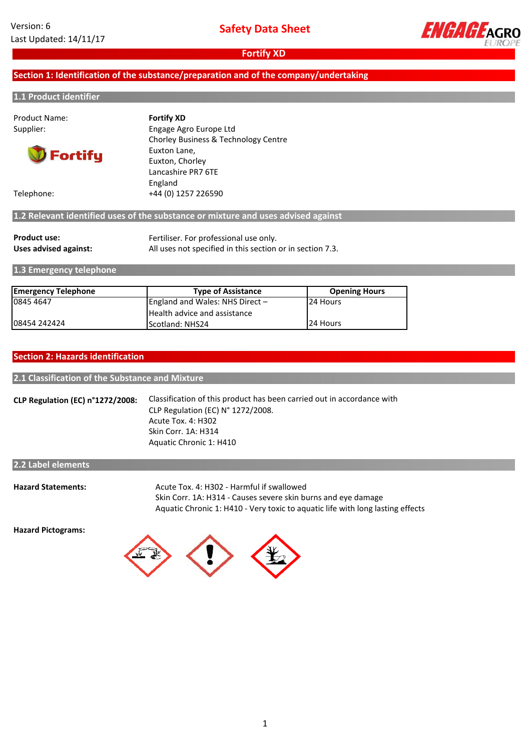

# **Section 1: Identification of the substance/preparation and of the company/undertaking**

#### **1.1 Product identifier**

| <b>Product Name:</b> | <b>Fortify XD</b>                                                                 |
|----------------------|-----------------------------------------------------------------------------------|
| Supplier:            | Engage Agro Europe Ltd                                                            |
|                      | Chorley Business & Technology Centre                                              |
| <b>D</b> Fortify     | Euxton Lane,                                                                      |
|                      | Euxton, Chorley                                                                   |
|                      | Lancashire PR7 6TE                                                                |
|                      | England                                                                           |
| Telephone:           | +44 (0) 1257 226590                                                               |
|                      | 1.2 Relevant identified uses of the substance or mixture and uses advised against |
|                      |                                                                                   |

| <b>Product use:</b>   | Fertiliser. For professional use only.                    |
|-----------------------|-----------------------------------------------------------|
| Uses advised against: | All uses not specified in this section or in section 7.3. |

**1.3 Emergency telephone**

| <b>Emergency Telephone</b> | <b>Type of Assistance</b>           | <b>Opening Hours</b> |
|----------------------------|-------------------------------------|----------------------|
| 0845 4647                  | England and Wales: NHS Direct $-$   | 24 Hours             |
|                            | <b>Health advice and assistance</b> |                      |
| 08454 242424               | <b>IScotland: NHS24</b>             | 24 Hours             |

### **Section 2: Hazards identification**

### **2.1 Classification of the Substance and Mixture**

**CLP Regulation (EC) n°1272/2008:** Classification of this product has been carried out in accordance with CLP Regulation (EC) N° 1272/2008. Acute Tox. 4: H302 Skin Corr. 1A: H314 Aquatic Chronic 1: H410

# **2.2 Label elements**

| <b>Hazard Statements:</b> | Acute Tox. 4: H302 - Harmful if swallowed                                      |
|---------------------------|--------------------------------------------------------------------------------|
|                           | Skin Corr. 1A: H314 - Causes severe skin burns and eye damage                  |
|                           | Aquatic Chronic 1: H410 - Very toxic to aquatic life with long lasting effects |

**Hazard Pictograms:**

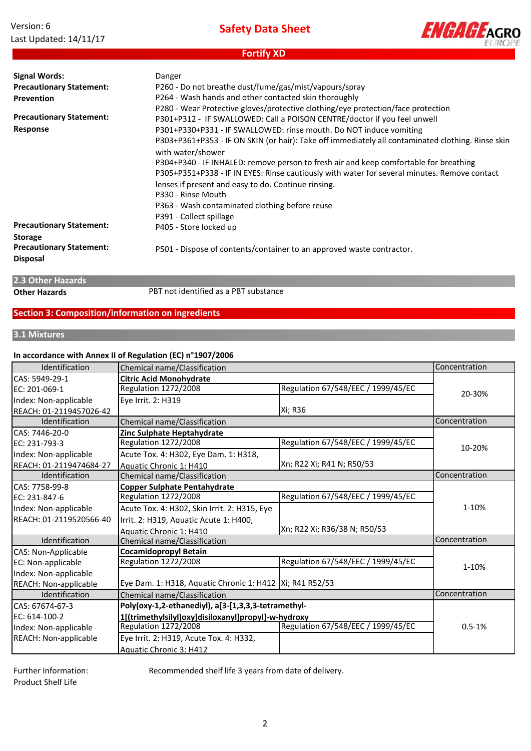| Version: 6             |
|------------------------|
| Last Updated: 14/11/17 |

**Safety Data Sheet**

**Fortify XD**



**Precautionary Statement: Disposal** P501 - Dispose of contents/container to an approved waste contractor. P391 - Collect spillage **Signal Words: Precautionary Statement: Prevention** P330 - Rinse Mouth **Precautionary Statement: Storage** P305+P351+P338 - IF IN EYES: Rinse cautiously with water for several minutes. Remove contact lenses if present and easy to do. Continue rinsing. P301+P312 - IF SWALLOWED: Call a POISON CENTRE/doctor if you feel unwell P405 - Store locked up Danger P301+P330+P331 - IF SWALLOWED: rinse mouth. Do NOT induce vomiting P260 - Do not breathe dust/fume/gas/mist/vapours/spray P264 - Wash hands and other contacted skin thoroughly P303+P361+P353 - IF ON SKIN (or hair): Take off immediately all contaminated clothing. Rinse skin with water/shower P363 - Wash contaminated clothing before reuse **Precautionary Statement: Response** P280 - Wear Protective gloves/protective clothing/eye protection/face protection P304+P340 - IF INHALED: remove person to fresh air and keep comfortable for breathing

**2.3 Other Hazards**

**Other Hazards** PBT not identified as a PBT substance

# **Section 3: Composition/information on ingredients**

#### **3.1 Mixtures**

### **In accordance with Annex II of Regulation (EC) n°1907/2006**

| Identification             | Chemical name/Classification                              |                                    | Concentration |
|----------------------------|-----------------------------------------------------------|------------------------------------|---------------|
| CAS: 5949-29-1             | <b>Citric Acid Monohydrate</b>                            |                                    |               |
| EC: 201-069-1              | Regulation 1272/2008                                      | Regulation 67/548/EEC / 1999/45/EC |               |
| Index: Non-applicable      | Eye Irrit. 2: H319                                        |                                    | 20-30%        |
| REACH: 01-2119457026-42    |                                                           | Xi; R36                            |               |
| Identification             | Chemical name/Classification                              |                                    | Concentration |
| CAS: 7446-20-0             | Zinc Sulphate Heptahydrate                                |                                    |               |
| EC: 231-793-3              | <b>Regulation 1272/2008</b>                               | Regulation 67/548/EEC / 1999/45/EC | 10-20%        |
| Index: Non-applicable      | Acute Tox. 4: H302, Eye Dam. 1: H318,                     |                                    |               |
| REACH: 01-2119474684-27    | Aquatic Chronic 1: H410                                   | Xn; R22 Xi; R41 N; R50/53          |               |
| Identification             | Chemical name/Classification                              |                                    | Concentration |
| CAS: 7758-99-8             | <b>Copper Sulphate Pentahydrate</b>                       |                                    |               |
| EC: 231-847-6              | Regulation 1272/2008                                      | Regulation 67/548/EEC / 1999/45/EC |               |
| Index: Non-applicable      | Acute Tox. 4: H302, Skin Irrit. 2: H315, Eye              |                                    | 1-10%         |
| REACH: 01-2119520566-40    | Irrit. 2: H319, Aquatic Acute 1: H400,                    |                                    |               |
|                            | Aquatic Chronic 1: H410                                   | Xn; R22 Xi; R36/38 N; R50/53       |               |
| Identification             | Chemical name/Classification                              |                                    | Concentration |
| <b>CAS: Non-Applicable</b> | <b>Cocamidopropyl Betain</b>                              |                                    |               |
| EC: Non-applicable         | <b>Regulation 1272/2008</b>                               | Regulation 67/548/EEC / 1999/45/EC | 1-10%         |
| Index: Non-applicable      |                                                           |                                    |               |
| REACH: Non-applicable      | Eye Dam. 1: H318, Aquatic Chronic 1: H412  Xi; R41 R52/53 |                                    |               |
| Identification             | Chemical name/Classification                              |                                    | Concentration |
| CAS: 67674-67-3            | Poly(oxy-1,2-ethanediyl), a[3-[1,3,3,3-tetramethyl-       |                                    |               |
| EC: 614-100-2              | 1[(trimethylsilyl)oxy]disiloxanyl]propyl]-w-hydroxy       |                                    |               |
| Index: Non-applicable      | Regulation 1272/2008                                      | Regulation 67/548/EEC / 1999/45/EC | $0.5 - 1%$    |
| REACH: Non-applicable      | Eye Irrit. 2: H319, Acute Tox. 4: H332,                   |                                    |               |
|                            | Aquatic Chronic 3: H412                                   |                                    |               |

Further Information: Product Shelf Life

Recommended shelf life 3 years from date of delivery.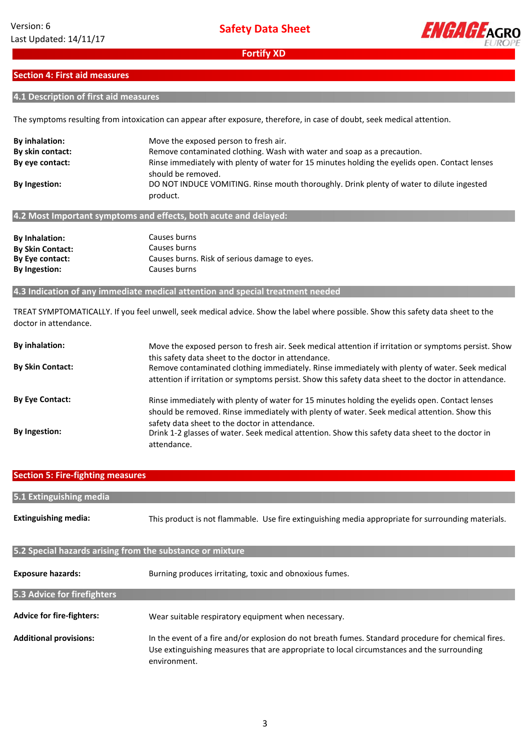

# **Section 4: First aid measures**

# **4.1 Description of first aid measures**

The symptoms resulting from intoxication can appear after exposure, therefore, in case of doubt, seek medical attention.

| By inhalation:<br>By skin contact: | Move the exposed person to fresh air.<br>Remove contaminated clothing. Wash with water and soap as a precaution.           |
|------------------------------------|----------------------------------------------------------------------------------------------------------------------------|
| By eye contact:                    | Rinse immediately with plenty of water for 15 minutes holding the eyelids open. Contact lenses                             |
| <b>By Ingestion:</b>               | should be removed.<br>DO NOT INDUCE VOMITING. Rinse mouth thoroughly. Drink plenty of water to dilute ingested<br>product. |
|                                    | 4.2 Most Important symptoms and effects, both acute and delayed:                                                           |

| <b>By Inhalation:</b>   | Causes burns                                  |
|-------------------------|-----------------------------------------------|
| <b>By Skin Contact:</b> | Causes burns                                  |
| By Eye contact:         | Causes burns. Risk of serious damage to eyes. |
| <b>By Ingestion:</b>    | Causes burns                                  |

### **4.3 Indication of any immediate medical attention and special treatment needed**

TREAT SYMPTOMATICALLY. If you feel unwell, seek medical advice. Show the label where possible. Show this safety data sheet to the doctor in attendance.

| By inhalation:          | Move the exposed person to fresh air. Seek medical attention if irritation or symptoms persist. Show                                                                                                                                                           |
|-------------------------|----------------------------------------------------------------------------------------------------------------------------------------------------------------------------------------------------------------------------------------------------------------|
| <b>By Skin Contact:</b> | this safety data sheet to the doctor in attendance.<br>Remove contaminated clothing immediately. Rinse immediately with plenty of water. Seek medical<br>attention if irritation or symptoms persist. Show this safety data sheet to the doctor in attendance. |
| <b>By Eye Contact:</b>  | Rinse immediately with plenty of water for 15 minutes holding the eyelids open. Contact lenses<br>should be removed. Rinse immediately with plenty of water. Seek medical attention. Show this                                                                 |
| By Ingestion:           | safety data sheet to the doctor in attendance.<br>Drink 1-2 glasses of water. Seek medical attention. Show this safety data sheet to the doctor in<br>attendance.                                                                                              |

| <b>Section 5: Fire-fighting measures</b>                  |                                                                                                                                                                                                                   |  |  |
|-----------------------------------------------------------|-------------------------------------------------------------------------------------------------------------------------------------------------------------------------------------------------------------------|--|--|
| 5.1 Extinguishing media                                   |                                                                                                                                                                                                                   |  |  |
|                                                           |                                                                                                                                                                                                                   |  |  |
| <b>Extinguishing media:</b>                               | This product is not flammable. Use fire extinguishing media appropriate for surrounding materials.                                                                                                                |  |  |
| 5.2 Special hazards arising from the substance or mixture |                                                                                                                                                                                                                   |  |  |
| <b>Exposure hazards:</b>                                  | Burning produces irritating, toxic and obnoxious fumes.                                                                                                                                                           |  |  |
| 5.3 Advice for firefighters                               |                                                                                                                                                                                                                   |  |  |
| <b>Advice for fire-fighters:</b>                          | Wear suitable respiratory equipment when necessary.                                                                                                                                                               |  |  |
| <b>Additional provisions:</b>                             | In the event of a fire and/or explosion do not breath fumes. Standard procedure for chemical fires.<br>Use extinguishing measures that are appropriate to local circumstances and the surrounding<br>environment. |  |  |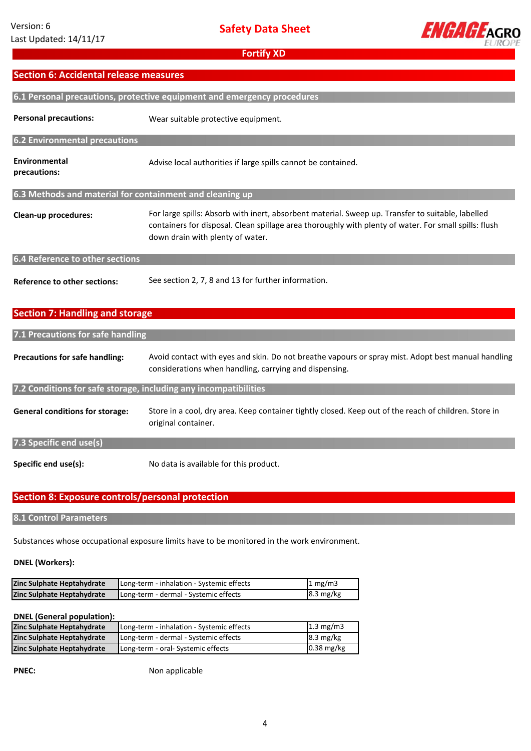

# **Section 6: Accidental release measures**

| 6.1 Personal precautions, protective equipment and emergency procedures |                                                                                                                                                                                                                                                |  |  |
|-------------------------------------------------------------------------|------------------------------------------------------------------------------------------------------------------------------------------------------------------------------------------------------------------------------------------------|--|--|
| <b>Personal precautions:</b>                                            | Wear suitable protective equipment.                                                                                                                                                                                                            |  |  |
| 6.2 Environmental precautions                                           |                                                                                                                                                                                                                                                |  |  |
| Environmental<br>precautions:                                           | Advise local authorities if large spills cannot be contained.                                                                                                                                                                                  |  |  |
| 6.3 Methods and material for containment and cleaning up                |                                                                                                                                                                                                                                                |  |  |
| Clean-up procedures:                                                    | For large spills: Absorb with inert, absorbent material. Sweep up. Transfer to suitable, labelled<br>containers for disposal. Clean spillage area thoroughly with plenty of water. For small spills: flush<br>down drain with plenty of water. |  |  |
| 6.4 Reference to other sections                                         |                                                                                                                                                                                                                                                |  |  |
| <b>Reference to other sections:</b>                                     | See section 2, 7, 8 and 13 for further information.                                                                                                                                                                                            |  |  |
| <b>Section 7: Handling and storage</b>                                  |                                                                                                                                                                                                                                                |  |  |
| 7.1 Precautions for safe handling                                       |                                                                                                                                                                                                                                                |  |  |
| <b>Precautions for safe handling:</b>                                   | Avoid contact with eyes and skin. Do not breathe vapours or spray mist. Adopt best manual handling<br>considerations when handling, carrying and dispensing.                                                                                   |  |  |
| 7.2 Conditions for safe storage, including any incompatibilities        |                                                                                                                                                                                                                                                |  |  |
| <b>General conditions for storage:</b>                                  | Store in a cool, dry area. Keep container tightly closed. Keep out of the reach of children. Store in<br>original container.                                                                                                                   |  |  |
| 7.3 Specific end use(s)                                                 |                                                                                                                                                                                                                                                |  |  |
| Specific end use(s):                                                    | No data is available for this product.                                                                                                                                                                                                         |  |  |

# **Section 8: Exposure controls/personal protection**

# **8.1 Control Parameters**

Substances whose occupational exposure limits have to be monitored in the work environment.

### **DNEL (Workers):**

| Zinc Sulphate Heptahydrate | Long-term - inhalation - Systemic effects | 1 mg/m3             |
|----------------------------|-------------------------------------------|---------------------|
| Zinc Sulphate Heptahydrate | Long-term - dermal - Systemic effects     | $8.3 \text{ mg/kg}$ |

#### **DNEL (General population):**

| Zinc Sulphate Heptahydrate | Long-term - inhalation - Systemic effects | $1.3 \text{ mg/m}$  |
|----------------------------|-------------------------------------------|---------------------|
| Zinc Sulphate Heptahydrate | Long-term - dermal - Systemic effects     | $8.3 \text{ mg/kg}$ |
| Zinc Sulphate Heptahydrate | Long-term - oral- Systemic effects        | $0.38$ mg/kg        |

**PNEC:**

Non applicable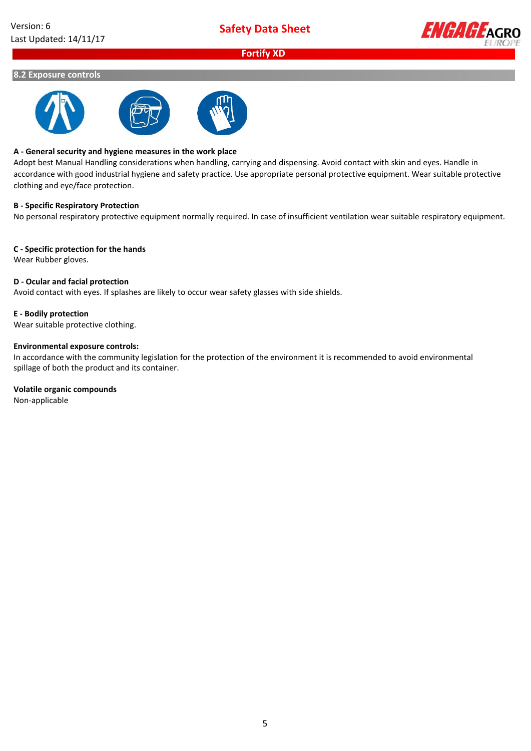

### **8.2 Exposure controls**



### **A - General security and hygiene measures in the work place**

Adopt best Manual Handling considerations when handling, carrying and dispensing. Avoid contact with skin and eyes. Handle in accordance with good industrial hygiene and safety practice. Use appropriate personal protective equipment. Wear suitable protective clothing and eye/face protection.

### **B - Specific Respiratory Protection**

No personal respiratory protective equipment normally required. In case of insufficient ventilation wear suitable respiratory equipment.

### **C - Specific protection for the hands**

Wear Rubber gloves.

### **D - Ocular and facial protection**

Avoid contact with eyes. If splashes are likely to occur wear safety glasses with side shields.

### **E - Bodily protection**

Wear suitable protective clothing.

### **Environmental exposure controls:**

In accordance with the community legislation for the protection of the environment it is recommended to avoid environmental spillage of both the product and its container.

### **Volatile organic compounds**

Non-applicable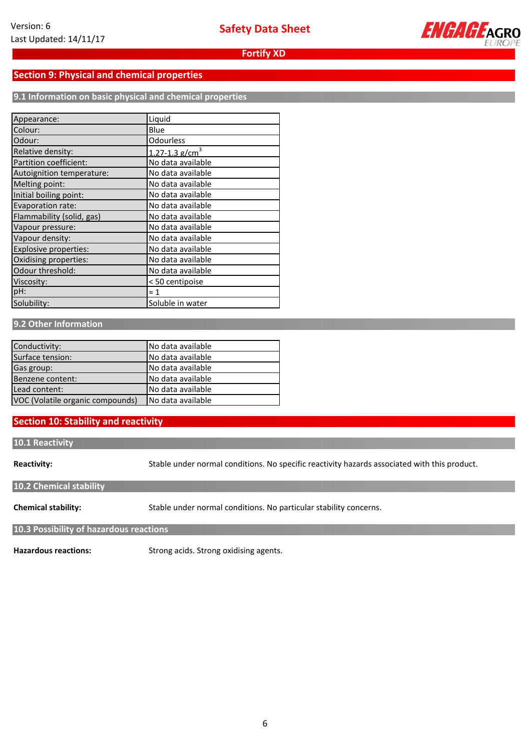

# **Section 9: Physical and chemical properties**

**9.1 Information on basic physical and chemical properties**

| Appearance:               | Liquid                         |
|---------------------------|--------------------------------|
| Colour:                   | Blue                           |
| Odour:                    | Odourless                      |
| Relative density:         | $1.27 - 1.3$ g/cm <sup>3</sup> |
| Partition coefficient:    | No data available              |
| Autoignition temperature: | No data available              |
| Melting point:            | No data available              |
| Initial boiling point:    | No data available              |
| Evaporation rate:         | No data available              |
| Flammability (solid, gas) | No data available              |
| Vapour pressure:          | No data available              |
| Vapour density:           | No data available              |
| Explosive properties:     | No data available              |
| Oxidising properties:     | No data available              |
| Odour threshold:          | No data available              |
| Viscosity:                | < 50 centipoise                |
| pH:                       | ≈ 1                            |
| Solubility:               | Soluble in water               |

# **9.2 Other Information**

| Conductivity:                    | INo data available |
|----------------------------------|--------------------|
| Surface tension:                 | INo data available |
| Gas group:                       | INo data available |
| Benzene content:                 | INo data available |
| Lead content:                    | INo data available |
| VOC (Volatile organic compounds) | INo data available |

# **Section 10: Stability and reactivity**

#### **10.1 Reactivity**

**Reactivity:**

Stable under normal conditions. No specific reactivity hazards associated with this product.

# **10.2 Chemical stability**

**Chemical stability:** Stable under normal conditions. No particular stability concerns.

### **10.3 Possibility of hazardous reactions**

**Hazardous reactions:**

Strong acids. Strong oxidising agents.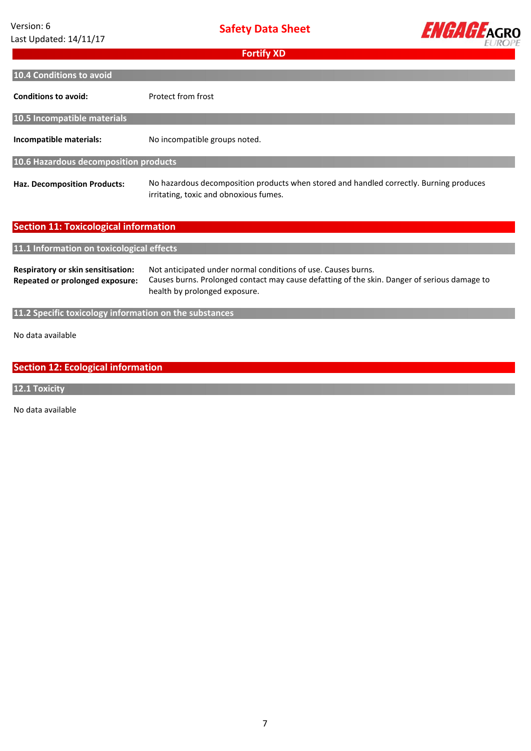| Version: 6             |
|------------------------|
| Last Updated: 14/11/17 |

**Safety Data Sheet**



| <b>Fortify XD</b>                                                     |                                                                                                                                                                                                |  |  |  |
|-----------------------------------------------------------------------|------------------------------------------------------------------------------------------------------------------------------------------------------------------------------------------------|--|--|--|
| 10.4 Conditions to avoid                                              |                                                                                                                                                                                                |  |  |  |
| <b>Conditions to avoid:</b>                                           | Protect from frost                                                                                                                                                                             |  |  |  |
| 10.5 Incompatible materials                                           |                                                                                                                                                                                                |  |  |  |
| Incompatible materials:                                               | No incompatible groups noted.                                                                                                                                                                  |  |  |  |
| 10.6 Hazardous decomposition products                                 |                                                                                                                                                                                                |  |  |  |
| <b>Haz. Decomposition Products:</b>                                   | No hazardous decomposition products when stored and handled correctly. Burning produces<br>irritating, toxic and obnoxious fumes.                                                              |  |  |  |
| <b>Section 11: Toxicological information</b>                          |                                                                                                                                                                                                |  |  |  |
|                                                                       |                                                                                                                                                                                                |  |  |  |
| 11.1 Information on toxicological effects                             |                                                                                                                                                                                                |  |  |  |
| Respiratory or skin sensitisation:<br>Repeated or prolonged exposure: | Not anticipated under normal conditions of use. Causes burns.<br>Causes burns. Prolonged contact may cause defatting of the skin. Danger of serious damage to<br>health by prolonged exposure. |  |  |  |
| 11.2 Specific toxicology information on the substances                |                                                                                                                                                                                                |  |  |  |
| No data available                                                     |                                                                                                                                                                                                |  |  |  |
| <b>Section 12: Ecological information</b>                             |                                                                                                                                                                                                |  |  |  |

# **12.1 Toxicity**

No data available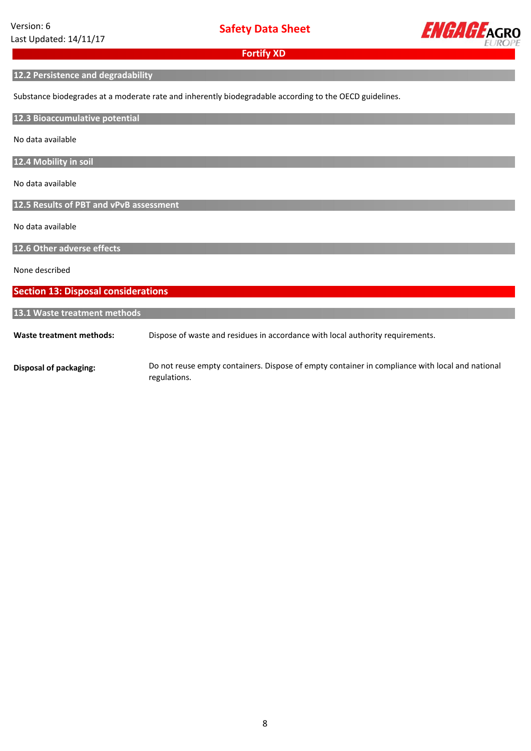

### **12.2 Persistence and degradability**

Substance biodegrades at a moderate rate and inherently biodegradable according to the OECD guidelines.

**12.3 Bioaccumulative potential**

No data available

**12.4 Mobility in soil**

No data available

**12.5 Results of PBT and vPvB assessment**

No data available

**12.6 Other adverse effects**

None described

**Waste treatment methods: Disposal of packaging: 13.1 Waste treatment methods** Dispose of waste and residues in accordance with local authority requirements. Do not reuse empty containers. Dispose of empty container in compliance with local and national **Section 13: Disposal considerations**

regulations.

8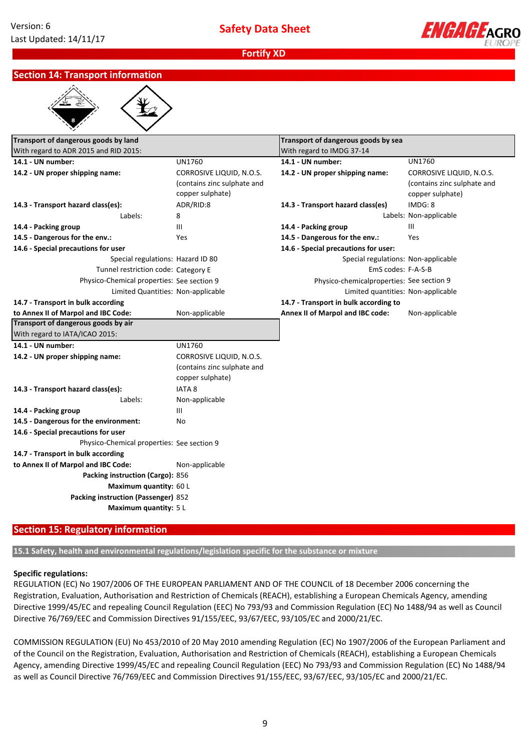

# **Section 14: Transport information**

| Transport of dangerous goods by land<br>With regard to ADR 2015 and RID 2015: |                             | Transport of dangerous goods by sea       |                             |
|-------------------------------------------------------------------------------|-----------------------------|-------------------------------------------|-----------------------------|
|                                                                               |                             | With regard to IMDG 37-14                 |                             |
| 14.1 - UN number:                                                             | <b>UN1760</b>               | 14.1 - UN number:                         | <b>UN1760</b>               |
| 14.2 - UN proper shipping name:                                               | CORROSIVE LIQUID, N.O.S.    | 14.2 - UN proper shipping name:           | CORROSIVE LIQUID, N.O.S.    |
|                                                                               | (contains zinc sulphate and |                                           | (contains zinc sulphate and |
|                                                                               | copper sulphate)            |                                           | copper sulphate)            |
| 14.3 - Transport hazard class(es):                                            | ADR/RID:8                   | 14.3 - Transport hazard class(es)         | IMDG: 8                     |
| Labels:                                                                       | 8                           |                                           | Labels: Non-applicable      |
| 14.4 - Packing group                                                          | Ш                           | 14.4 - Packing group                      | Ш                           |
| 14.5 - Dangerous for the env.:                                                | Yes                         | 14.5 - Dangerous for the env.:            | Yes                         |
| 14.6 - Special precautions for user                                           |                             | 14.6 - Special precautions for user:      |                             |
| Special regulations: Hazard ID 80                                             |                             | Special regulations: Non-applicable       |                             |
| Tunnel restriction code: Category E                                           |                             | EmS codes: F-A-S-B                        |                             |
| Physico-Chemical properties: See section 9                                    |                             | Physico-chemicalproperties: See section 9 |                             |
| Limited Quantities: Non-applicable                                            |                             | Limited quantities: Non-applicable        |                             |
| 14.7 - Transport in bulk according                                            |                             | 14.7 - Transport in bulk according to     |                             |
| to Annex II of Marpol and IBC Code:                                           | Non-applicable              | Annex II of Marpol and IBC code:          | Non-applicable              |
| Transport of dangerous goods by air                                           |                             |                                           |                             |
| With regard to IATA/ICAO 2015:                                                |                             |                                           |                             |
| 14.1 - UN number:                                                             | <b>UN1760</b>               |                                           |                             |
| 14.2 - UN proper shipping name:                                               | CORROSIVE LIQUID, N.O.S.    |                                           |                             |
|                                                                               | (contains zinc sulphate and |                                           |                             |
|                                                                               | copper sulphate)            |                                           |                             |
| 14.3 - Transport hazard class(es):                                            | <b>IATA 8</b>               |                                           |                             |
| Labels:                                                                       | Non-applicable              |                                           |                             |
| 14.4 - Packing group                                                          | Ш                           |                                           |                             |
| 14.5 - Dangerous for the environment:                                         | No                          |                                           |                             |
| 14.6 - Special precautions for user                                           |                             |                                           |                             |
| Physico-Chemical properties: See section 9                                    |                             |                                           |                             |
| 14.7 - Transport in bulk according                                            |                             |                                           |                             |
| to Annex II of Marpol and IBC Code:                                           | Non-applicable              |                                           |                             |
| Packing instruction (Cargo): 856                                              |                             |                                           |                             |
| Maximum quantity: 60 L                                                        |                             |                                           |                             |
| Packing instruction (Passenger) 852                                           |                             |                                           |                             |
| Maximum quantity: 5 L                                                         |                             |                                           |                             |
|                                                                               |                             |                                           |                             |

# **Section 15: Regulatory information**

**15.1 Safety, health and environmental regulations/legislation specific for the substance or mixture**

### **Specific regulations:**

REGULATION (EC) No 1907/2006 OF THE EUROPEAN PARLIAMENT AND OF THE COUNCIL of 18 December 2006 concerning the Registration, Evaluation, Authorisation and Restriction of Chemicals (REACH), establishing a European Chemicals Agency, amending Directive 1999/45/EC and repealing Council Regulation (EEC) No 793/93 and Commission Regulation (EC) No 1488/94 as well as Council Directive 76/769/EEC and Commission Directives 91/155/EEC, 93/67/EEC, 93/105/EC and 2000/21/EC.

COMMISSION REGULATION (EU) No 453/2010 of 20 May 2010 amending Regulation (EC) No 1907/2006 of the European Parliament and of the Council on the Registration, Evaluation, Authorisation and Restriction of Chemicals (REACH), establishing a European Chemicals Agency, amending Directive 1999/45/EC and repealing Council Regulation (EEC) No 793/93 and Commission Regulation (EC) No 1488/94 as well as Council Directive 76/769/EEC and Commission Directives 91/155/EEC, 93/67/EEC, 93/105/EC and 2000/21/EC.